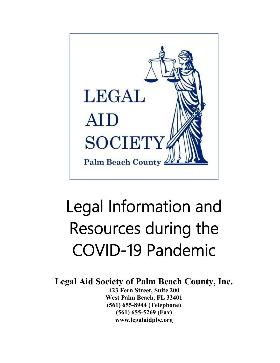

# Legal Information and Resources during the COVID-19 Pandemic

**Legal Aid Society of Palm Beach County, Inc.**

**423 Fern Street, Suite 200 West Palm Beach, FL 33401 (561) 655-8944 (Telephone) (561) 655-5269 (Fax) www.legalaidpbc.org**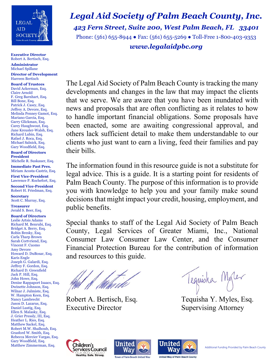

**Executive Director**  Robert A. Bertisch, Esq.

**Administrator**  Michael Spillane

 **Director of Development**  Harreen Bertisch

**Board of Trustees**  David Ackerman, Esq. Claire Arnold F. Greg Barnhart, Esq. Bill Bone, Esq. Patrick J. Casey, Esq. Jeffrey A. Devore, Esq. Melinda Penney Gamot, Esq. Mariano Garcia, Esq. Garry Glickman, Esq. Carey Haughwout, Esq. Jane Kreusler-Walsh, Esq. Richard Lubin, Esq. Rafael J. Roca, Esq. Michael Salnick, Esq. Gary Woodfield, Esq.

**Board of Directors President**  Michelle R. Suskauer, Esq.

 **Immediate Past Pres.** Miriam Acosta-Castriz, Esq.

**First Vice-President** Lawrence P. Rochefort, Esq.

**Second Vice-President** Robert H. Friedman, Esq.

**Secretary**  Scott C. Murray, Esq.

 **Treasurer**  Jerald S. Beer, Esq.

 **Board of Directors**  Leslie Artsis Adams Richard M. Benrubi, Esq. Bridget A. Berry, Esq. Robin Bresky, Esq. Carla Tharp Brown Sarah Cortvriend, Esq. Vincent F. Cuomo Amy Devore Howard D. DuBosar, Esq. Karis Engle Joseph G. Galardi, Esq. Jeffrey F. Gordon, Esq. Richard D. Greenfield Jack P. Hill, Esq. John Howe, Esq. Denise Rappaport Isaacs, Esq. Dwinette Johnson, Esq. Wilnar J. Julmiste, Esq. W. Hampton Keen, Esq. Nancy Lambrecht Jason D. Lazarus, Esq. Daniel Lustig, Esq. Ellen S. Malasky, Esq. J. Grier Pressly, III, Esq. Heather L. Ries, Esq. Matthew Sackel, Esq. Robert M.W. Shalhoub, Esq. Grasford W. Smith, Esq. Rebecca Mercier Vargas, Esq. Gary Woodfield, Esq.

*Legal Aid Society of Palm Beach County, Inc. 423 Fern Street, Suite 200, West Palm Beach, FL 33401* 

Phone:  $(561)$  655-8944 • Fax:  $(561)$  655-5269 • Toll-Free 1-800-403-9353 *www.legalaidpbc.org* 

The Legal Aid Society of Palm Beach County is tracking the many developments and changes in the law that may impact the clients that we serve. We are aware that you have been inundated with news and proposals that are often conflicting as it relates to how to handle important financial obligations. Some proposals have been enacted, some are awaiting congressional approval, and others lack sufficient detail to make them understandable to our clients who just want to earn a living, feed their families and pay their bills.

The information found in this resource guide is not a substitute for legal advice. This is a guide. It is a starting point for residents of Palm Beach County. The purpose of this information is to provide you with knowledge to help you and your family make sound decisions that might impact your credit, housing, employment, and public benefits.

Special thanks to staff of the Legal Aid Society of Palm Beach County, Legal Services of Greater Miami, Inc., National Consumer Law Consumer Law Center, and the Consumer Financial Protection Bureau for the contribution of information and resources to this guide.

Executive Director Supervising Attorney

Mont Modern Marine Hequisha Modern Robert A. Bertisch, Esq. Tequisha Y. Myles, Esq.





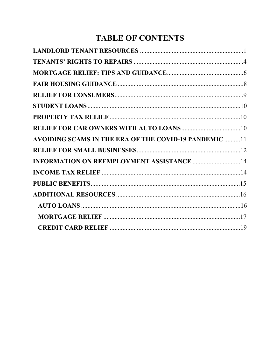## **TABLE OF CONTENTS**

| <b>AVOIDING SCAMS IN THE ERA OF THE COVID-19 PANDEMIC 11</b> |  |
|--------------------------------------------------------------|--|
|                                                              |  |
| <b>INFORMATION ON REEMPLOYMENT ASSISTANCE  14</b>            |  |
|                                                              |  |
|                                                              |  |
|                                                              |  |
|                                                              |  |
|                                                              |  |
|                                                              |  |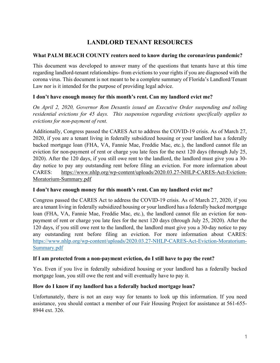## **LANDLORD TENANT RESOURCES**

#### **What PALM BEACH COUNTY renters need to know during the coronavirus pandemic?**

This document was developed to answer many of the questions that tenants have at this time regarding landlord-tenant relationships- from evictions to your rights if you are diagnosed with the corona virus. This document is not meant to be a complete summary of Florida's Landlord/Tenant Law nor is it intended for the purpose of providing legal advice.

#### **I don't have enough money for this month's rent. Can my landlord evict me?**

*On April 2, 2020, Governor Ron Desantis issued an Executive Order suspending and tolling residential evictions for 45 days. This suspension regarding evictions specifically applies to evictions for non-payment of rent.* 

Additionally, Congress passed the CARES Act to address the COVID-19 crisis. As of March 27, 2020, if you are a tenant living in federally subsidized housing or your landlord has a federally backed mortgage loan (FHA, VA, Fannie Mae, Freddie Mac, etc.), the landlord cannot file an eviction for non-payment of rent or charge you late fees for the next 120 days (through July 25, 2020). After the 120 days, if you still owe rent to the landlord, the landlord must give you a 30 day notice to pay any outstanding rent before filing an eviction. For more information about CARES: https://www.nhlp.org/wp-content/uploads/2020.03.27-NHLP-CARES-Act-Eviction-Moratorium-Summary.pdf

#### **I don't have enough money for this month's rent. Can my landlord evict me?**

Congress passed the CARES Act to address the COVID-19 crisis. As of March 27, 2020, if you are a tenant living in federally subsidized housing or your landlord has a federally backed mortgage loan (FHA, VA, Fannie Mae, Freddie Mac, etc.), the landlord cannot file an eviction for nonpayment of rent or charge you late fees for the next 120 days (through July 25, 2020). After the 120 days, if you still owe rent to the landlord, the landlord must give you a 30-day notice to pay any outstanding rent before filing an eviction. For more information about CARES: https://www.nhlp.org/wp-content/uploads/2020.03.27-NHLP-CARES-Act-Eviction-Moratorium-Summary.pdf

#### **If I am protected from a non-payment eviction, do I still have to pay the rent?**

Yes. Even if you live in federally subsidized housing or your landlord has a federally backed mortgage loan, you still owe the rent and will eventually have to pay it.

#### **How do I know if my landlord has a federally backed mortgage loan?**

Unfortunately, there is not an easy way for tenants to look up this information. If you need assistance, you should contact a member of our Fair Housing Project for assistance at 561-655- 8944 ext. 326.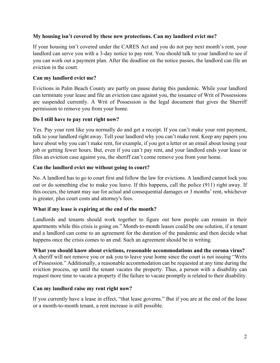#### **My housing isn't covered by these new protections. Can my landlord evict me?**

If your housing isn't covered under the CARES Act and you do not pay next month's rent, your landlord can serve you with a 3-day notice to pay rent. You should talk to your landlord to see if you can work out a payment plan. After the deadline on the notice passes, the landlord can file an eviction in the court.

#### **Can my landlord evict me?**

Evictions in Palm Beach County are partly on pause during this pandemic. While your landlord can terminate your lease and file an eviction case against you, the issuance of Writ of Possessions are suspended currently. A Writ of Possession is the legal document that gives the Sherriff permission to remove you from your home.

#### **Do I still have to pay rent right now?**

Yes. Pay your rent like you normally do and get a receipt. If you can't make your rent payment, talk to your landlord right away. Tell your landlord why you can't make rent. Keep any papers you have about why you can't make rent, for example, if you got a letter or an email about losing your job or getting fewer hours. But, even if you can't pay rent, and your landlord ends your lease or files an eviction case against you, the sheriff can't come remove you from your home.

#### **Can the landlord evict me without going to court?**

No. A landlord has to go to court first and follow the law for evictions. A landlord cannot lock you out or do something else to make you leave. If this happens, call the police (911) right away. If this occurs, the tenant may sue for actual and consequential damages or 3 months' rent, whichever is greater, plus court costs and attorney's fees.

#### **What if my lease is expiring at the end of the month?**

Landlords and tenants should work together to figure out how people can remain in their apartments while this crisis is going on." Month-to-month leases could be one solution, if a tenant and a landlord can come to an agreement for the duration of the pandemic and then decide what happens once the crisis comes to an end. Such an agreement should be in writing.

#### **What you should know about evictions, reasonable accommodations and the corona virus?**

A sheriff will not remove you or ask you to leave your home since the court is not issuing "Writs of Possession." Additionally, a reasonable accommodation can be requested at any time during the eviction process, up until the tenant vacates the property. Thus, a person with a disability can request more time to vacate a property if the failure to vacate promptly is related to their disability.

#### **Can my landlord raise my rent right now?**

If you currently have a lease in effect, "that lease governs." But if you are at the end of the lease or a month-to-month tenant, a rent increase is still possible.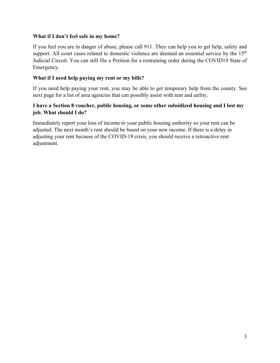#### **What if I don't feel safe in my home?**

If you feel you are in danger of abuse, please call 911. They can help you to get help, safety and support. All court cases related to domestic violence are deemed an essential service by the 15<sup>th</sup> Judicial Circuit. You can still file a Petition for a restraining order during the COVID19 State of Emergency.

#### **What if I need help paying my rent or my bills?**

If you need help paying your rent, you may be able to get temporary help from the county. See next page for a list of area agencies that can possibly assist with rent and utility.

#### **I have a Section 8 voucher, public housing, or some other subsidized housing and I lost my job. What should I do?**

Immediately report your loss of income to your public housing authority so your rent can be adjusted. The next month's rent should be based on your new income. If there is a delay in adjusting your rent because of the COVID-19 crisis, you should receive a retroactive rent adjustment.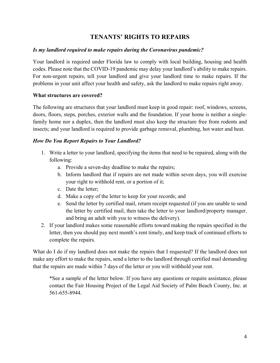## **TENANTS' RIGHTS TO REPAIRS**

#### *Is my landlord required to make repairs during the Coronavirus pandemic?*

Your landlord is required under Florida law to comply with local building, housing and health codes. Please note that the COVID-19 pandemic may delay your landlord's ability to make repairs. For non-urgent repairs, tell your landlord and give your landlord time to make repairs. If the problems in your unit affect your health and safety, ask the landlord to make repairs right away.

#### **What structures are covered?**

The following are structures that your landlord must keep in good repair: roof, windows, screens, doors, floors, steps, porches, exterior walls and the foundation. If your home is neither a singlefamily home nor a duplex, then the landlord must also keep the structure free from rodents and insects; and your landlord is required to provide garbage removal, plumbing, hot water and heat.

#### *How Do You Report Repairs to Your Landlord?*

- 1. Write a letter to your landlord, specifying the items that need to be repaired, along with the following:
	- a. Provide a seven-day deadline to make the repairs;
	- b. Inform landlord that if repairs are not made within seven days, you will exercise your right to withhold rent, or a portion of it;
	- c. Date the letter;
	- d. Make a copy of the letter to keep for your records; and
	- e. Send the letter by certified mail, return receipt requested (if you are unable to send the letter by certified mail, then take the letter to your landlord/property manager, and bring an adult with you to witness the delivery).
- 2. If your landlord makes some reasonable efforts toward making the repairs specified in the letter, then you should pay next month's rent timely, and keep track of continued efforts to complete the repairs.

What do I do if my landlord does not make the repairs that I requested? If the landlord does not make any effort to make the repairs, send a letter to the landlord through certified mail demanding that the repairs are made within 7 days of the letter or you will withhold your rent.

\*See a sample of the letter below. If you have any questions or require assistance, please contact the Fair Housing Project of the Legal Aid Society of Palm Beach County, Inc. at 561-655-8944.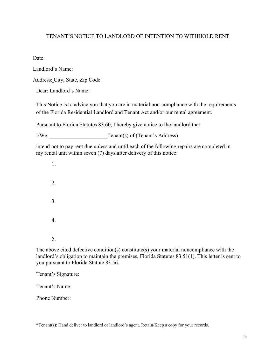#### TENANT'S NOTICE TO LANDLORD OF INTENTION TO WITHHOLD RENT

Date:

Landlord's Name:

Address: City, State, Zip Code:

Dear: Landlord's Name:

This Notice is to advice you that you are in material non-compliance with the requirements of the Florida Residential Landlord and Tenant Act and/or our rental agreement.

Pursuant to Florida Statutes 83.60, I hereby give notice to the landlord that

I/We, Tenant(s) of (Tenant's Address)

intend not to pay rent due unless and until each of the following repairs are completed in my rental unit within seven (7) days after delivery of this notice:

1. 2. 3. 4. 5.

The above cited defective condition(s) constitute(s) your material noncompliance with the landlord's obligation to maintain the premises, Florida Statutes 83.51(1). This letter is sent to you pursuant to Florida Statute 83.56.

Tenant's Signature:

Tenant's Name:

Phone Number:

\*Tenant(s): Hand deliver to landlord or landlord's agent. Retain/Keep a copy for your records.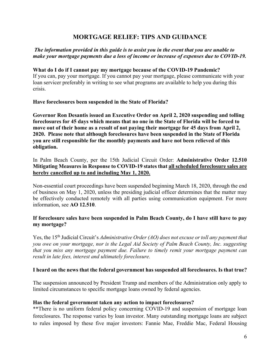## **MORTGAGE RELIEF: TIPS AND GUIDANCE**

#### *The information provided in this guide is to assist you in the event that you are unable to make your mortgage payments due a loss of income or increase of expenses due to COVID-19.*

#### **What do I do if I cannot pay my mortgage because of the COVID-19 Pandemic?**

If you can, pay your mortgage. If you cannot pay your mortgage, please communicate with your loan servicer preferably in writing to see what programs are available to help you during this crisis.

#### **Have foreclosures been suspended in the State of Florida?**

**Governor Ron Desantis issued an Executive Order on April 2, 2020 suspending and tolling foreclosures for 45 days which means that no one in the State of Florida will be forced to move out of their home as a result of not paying their mortgage for 45 days from April 2, 2020. Please note that although foreclosures have been suspended in the State of Florida you are still responsible for the monthly payments and have not been relieved of this obligation.** 

#### In Palm Beach County, per the 15th Judicial Circuit Order: **Administrative Order 12.510 Mitigating Measures in Response to COVID-19 states that all scheduled foreclosure sales are hereby cancelled up to and including May 1, 2020.**

Non-essential court proceedings have been suspended beginning March 18, 2020, through the end of business on May 1, 2020, unless the presiding judicial officer determines that the matter may be effectively conducted remotely with all parties using communication equipment. For more information, see **AO 12.510**.

#### **If foreclosure sales have been suspended in Palm Beach County, do I have still have to pay my mortgage?**

Yes, the 15<sup>th</sup> Judicial Circuit's *Administrative Order (AO) does not excuse or toll any payment that you owe on your mortgage, nor is the Legal Aid Society of Palm Beach County, Inc. suggesting that you miss any mortgage payment due. Failure to timely remit your mortgage payment can result in late fees, interest and ultimately foreclosure.*

#### **I heard on the news that the federal government has suspended all foreclosures. Is that true?**

The suspension announced by President Trump and members of the Administration only apply to limited circumstances to specific mortgage loans owned by federal agencies.

#### **Has the federal government taken any action to impact foreclosures?**

\*\*There is no uniform federal policy concerning COVID-19 and suspension of mortgage loan foreclosures. The response varies by loan investor. Many outstanding mortgage loans are subject to rules imposed by these five major investors: Fannie Mae, Freddie Mac, Federal Housing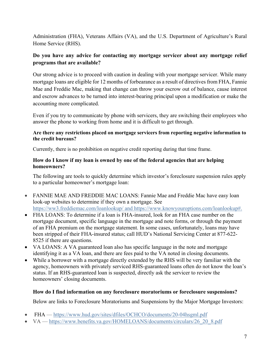Administration (FHA), Veterans Affairs (VA), and the U.S. Department of Agriculture's Rural Home Service (RHS).

## **Do you have any advice for contacting my mortgage servicer about any mortgage relief programs that are available?**

Our strong advice is to proceed with caution in dealing with your mortgage servicer. While many mortgage loans are eligible for 12 months of forbearance as a result of directives from FHA, Fannie Mae and Freddie Mac, making that change can throw your escrow out of balance, cause interest and escrow advances to be turned into interest-bearing principal upon a modification or make the accounting more complicated.

Even if you try to communicate by phone with servicers, they are switching their employees who answer the phone to working from home and it is difficult to get through.

#### **Are there any restrictions placed on mortgage servicers from reporting negative information to the credit bureaus?**

Currently, there is no prohibition on negative credit reporting during that time frame.

#### **How do I know if my loan is owned by one of the federal agencies that are helping homeowners?**

The following are tools to quickly determine which investor's foreclosure suspension rules apply to a particular homeowner's mortgage loan:

- FANNIE MAE AND FREDDIE MAC LOANS: Fannie Mae and Freddie Mac have easy loan look-up websites to determine if they own a mortgage. See https://ww3.freddiemac.com/loanlookup/ and https://www.knowyouroptions.com/loanlookup#.
- FHA LOANS: To determine if a loan is FHA-insured, look for an FHA case number on the mortgage document, specific language in the mortgage and note forms, or through the payment of an FHA premium on the mortgage statement. In some cases, unfortunately, loans may have been stripped of their FHA-insured status; call HUD's National Servicing Center at 877-622- 8525 if there are questions.
- VA LOANS: A VA guaranteed loan also has specific language in the note and mortgage identifying it as a VA loan, and there are fees paid to the VA noted in closing documents.
- While a borrower with a mortgage directly extended by the RHS will be very familiar with the agency, homeowners with privately serviced RHS-guaranteed loans often do not know the loan's status. If an RHS-guaranteed loan is suspected, directly ask the servicer to review the homeowners' closing documents.

#### **How do I find information on any foreclosure moratoriums or foreclosure suspensions?**

Below are links to Foreclosure Moratoriums and Suspensions by the Major Mortgage Investors:

- FHA https://www.hud.gov/sites/dfiles/OCHCO/documents/20-04hsgml.pdf
- VA https://www.benefits.va.gov/HOMELOANS/documents/circulars/26 20 8.pdf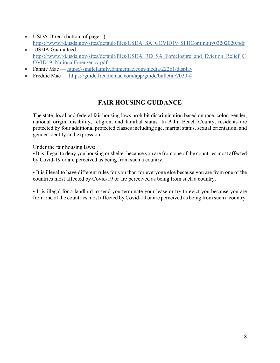- $\bullet$  USDA Direct (bottom of page 1) https://www.rd.usda.gov/sites/default/files/USDA\_SA\_COVID19\_SFHContinuity03202020.pdf
- USDA Guaranteed https://www.rd.usda.gov/sites/default/files/USDA\_RD\_SA\_Foreclosure\_and\_Eviction\_Relief\_C OVID19\_NationalEmergency.pdf
- Fannie Mae https://singlefamily.fanniemae.com/media/22261/display
- x Freddie Mac https://guide.freddiemac.com/app/guide/bulletin/2020-4

## **FAIR HOUSING GUIDANCE**

The state, local and federal fair housing laws prohibit discrimination based on race, color, gender, national origin, disability, religion, and familial status. In Palm Beach County, residents are protected by four additional protected classes including age, marital status, sexual orientation, and gender identity and expression.

Under the fair housing laws:

• It is illegal to deny you housing or shelter because you are from one of the countries most affected by Covid-19 or are perceived as being from such a country.

• It is illegal to have different rules for you than for everyone else because you are from one of the countries most affected by Covid-19 or are perceived as being from such a country.

• It is illegal for a landlord to send you terminate your lease or try to evict you because you are from one of the countries most affected by Covid-19 or are perceived as being from such a country.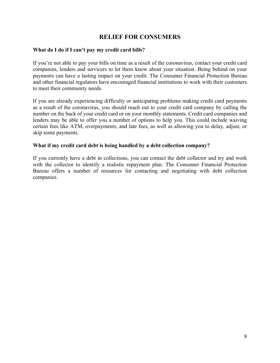## **RELIEF FOR CONSUMERS**

#### **What do I do if I can't pay my credit card bills?**

If you're not able to pay your bills on time as a result of the coronavirus, contact your credit card companies, lenders and servicers to let them know about your situation. Being behind on your payments can have a lasting impact on your credit. The Consumer Financial Protection Bureau and other financial regulators have encouraged financial institutions to work with their customers to meet their community needs.

If you are already experiencing difficulty or anticipating problems making credit card payments as a result of the coronavirus, you should reach out to your credit card company by calling the number on the back of your credit card or on your monthly statements. Credit card companies and lenders may be able to offer you a number of options to help you. This could include waiving certain fees like ATM, overpayments, and late fees, as well as allowing you to delay, adjust, or skip some payments.

#### **What if my credit card debt is being handled by a debt collection company?**

If you currently have a debt in collections, you can contact the debt collector and try and work with the collector to identify a realistic repayment plan. The Consumer Financial Protection Bureau offers a number of resources for contacting and negotiating with debt collection companies.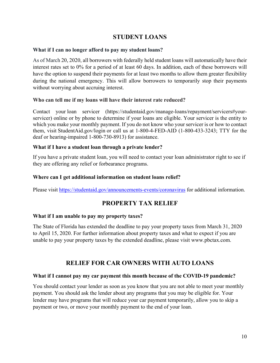## **STUDENT LOANS**

#### **What if I can no longer afford to pay my student loans?**

As of March 20, 2020, all borrowers with federally held student loans will automatically have their interest rates set to 0% for a period of at least 60 days. In addition, each of these borrowers will have the option to suspend their payments for at least two months to allow them greater flexibility during the national emergency. This will allow borrowers to temporarily stop their payments without worrying about accruing interest.

#### **Who can tell me if my loans will have their interest rate reduced?**

Contact your loan servicer (https://studentaid.gov/manage-loans/repayment/servicers#yourservicer) online or by phone to determine if your loans are eligible. Your servicer is the entity to which you make your monthly payment. If you do not know who your servicer is or how to contact them, visit StudentAid.gov/login or call us at 1-800-4-FED-AID (1-800-433-3243; TTY for the deaf or hearing-impaired 1-800-730-8913) for assistance.

#### **What if I have a student loan through a private lender?**

If you have a private student loan, you will need to contact your loan administrator right to see if they are offering any relief or forbearance programs.

#### **Where can I get additional information on student loans relief?**

Please visit https://studentaid.gov/announcements-events/coronavirus for additional information.

## **PROPERTY TAX RELIEF**

#### **What if I am unable to pay my property taxes?**

The State of Florida has extended the deadline to pay your property taxes from March 31, 2020 to April 15, 2020. For further information about property taxes and what to expect if you are unable to pay your property taxes by the extended deadline, please visit www.pbctax.com.

## **RELIEF FOR CAR OWNERS WITH AUTO LOANS**

#### **What if I cannot pay my car payment this month because of the COVID-19 pandemic?**

You should contact your lender as soon as you know that you are not able to meet your monthly payment. You should ask the lender about any programs that you may be eligible for. Your lender may have programs that will reduce your car payment temporarily, allow you to skip a payment or two, or move your monthly payment to the end of your loan.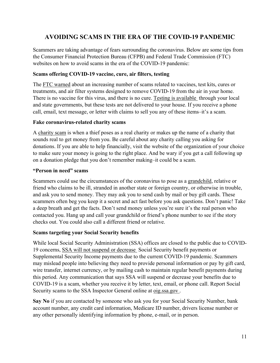## **AVOIDING SCAMS IN THE ERA OF THE COVID-19 PANDEMIC**

Scammers are taking advantage of fears surrounding the coronavirus. Below are some tips from the Consumer Financial Protection Bureau (CFPB) and Federal Trade Commission (FTC) websites on how to avoid scams in the era of the COVID-19 pandemic:

#### **Scams offering COVID-19 vaccine, cure, air filters, testing**

The FTC warned about an increasing number of scams related to vaccines, test kits, cures or treatments, and air filter systems designed to remove COVID-19 from the air in your home. There is no vaccine for this virus, and there is no cure. Testing is available through your local and state governments, but these tests are not delivered to your house. If you receive a phone call, email, text message, or letter with claims to sell you any of these items–it's a scam.

#### **Fake coronavirus-related charity scams**

A charity scam is when a thief poses as a real charity or makes up the name of a charity that sounds real to get money from you. Be careful about any charity calling you asking for donations. If you are able to help financially, visit the website of the organization of your choice to make sure your money is going to the right place. And be wary if you get a call following up on a donation pledge that you don't remember making–it could be a scam.

#### **"Person in need" scams**

Scammers could use the circumstances of the coronavirus to pose as a grandchild, relative or friend who claims to be ill, stranded in another state or foreign country, or otherwise in trouble, and ask you to send money. They may ask you to send cash by mail or buy gift cards. These scammers often beg you keep it a secret and act fast before you ask questions. Don't panic! Take a deep breath and get the facts. Don't send money unless you're sure it's the real person who contacted you. Hang up and call your grandchild or friend's phone number to see if the story checks out. You could also call a different friend or relative.

#### **Scams targeting your Social Security benefits**

While local Social Security Administration (SSA) offices are closed to the public due to COVID-19 concerns, SSA will not suspend or decrease Social Security benefit payments or Supplemental Security Income payments due to the current COVID-19 pandemic. Scammers may mislead people into believing they need to provide personal information or pay by gift card, wire transfer, internet currency, or by mailing cash to maintain regular benefit payments during this period. Any communication that says SSA will suspend or decrease your benefits due to COVID-19 is a scam, whether you receive it by letter, text, email, or phone call. Report Social Security scams to the SSA Inspector General online at oig.ssa.gov .

**Say No** if you are contacted by someone who ask you for your Social Security Number, bank account number, any credit card information, Medicare ID number, drivers license number or any other personally identifying information by phone, e-mail, or in person.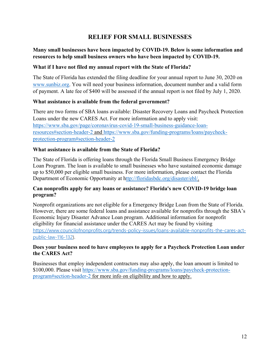## **RELIEF FOR SMALL BUSINESSES**

#### **Many small businesses have been impacted by COVID-19. Below is some information and resources to help small business owners who have been impacted by COVID-19.**

#### **What if I have not filed my annual report with the State of Florida?**

The State of Florida has extended the filing deadline for your annual report to June 30, 2020 on www.sunbiz.org. You will need your business information, document number and a valid form of payment. A late fee of \$400 will be assessed if the annual report is not filed by July 1, 2020.

#### **What assistance is available from the federal government?**

There are two forms of SBA loans available: Disaster Recovery Loans and Paycheck Protection Loans under the new CARES Act. For more information and to apply visit: https://www.sba.gov/page/coronavirus-covid-19-small-business-guidance-loanresources#section-header-2 and https://www.sba.gov/funding-programs/loans/paycheckprotection-program#section-header-2

#### **What assistance is available from the State of Florida?**

The State of Florida is offering loans through the Florida Small Business Emergency Bridge Loan Program. The loan is available to small businesses who have sustained economic damage up to \$50,000 per eligible small business. For more information, please contact the Florida Department of Economic Opportunity at http://floridasbdc.org/disaster/ebl/.

#### **Can nonprofits apply for any loans or assistance? Florida's new COVID-19 bridge loan program?**

Nonprofit organizations are not eligible for a Emergency Bridge Loan from the State of Florida. However, there are some federal loans and assistance available for nonprofits through the SBA's Economic Injury Disaster Advance Loan program. Additional information for nonprofit eligibility for financial assistance under the CARES Act may be found by visiting https://www.councilofnonprofits.org/trends-policy-issues/loans-available-nonprofits-the-cares-actpublic-law-116-132).

#### **Does your business need to have employees to apply for a Paycheck Protection Loan under the CARES Act?**

Businesses that employ independent contractors may also apply, the loan amount is limited to \$100,000. Please visit https://www.sba.gov/funding-programs/loans/paycheck-protectionprogram#section-header-2 for more info on eligibility and how to apply.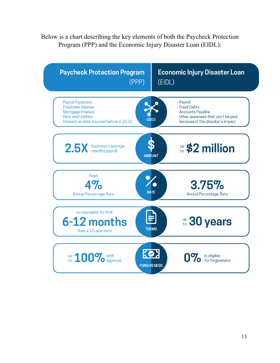Below is a chart describing the key elements of both the Paycheck Protection Program (PPP) and the Economic Injury Disaster Loan (EIDL):

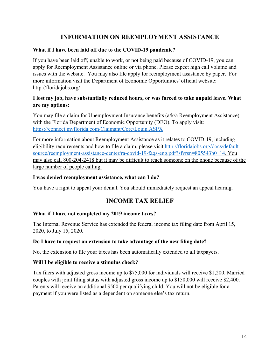## **INFORMATION ON REEMPLOYMENT ASSISTANCE**

#### **What if I have been laid off due to the COVID-19 pandemic?**

If you have been laid off, unable to work, or not being paid because of COVID-19, you can apply for Reemployment Assistance online or via phone. Please expect high call volume and issues with the website. You may also file apply for reemployment assistance by paper. For more information visit the Department of Economic Opportunities' official website: http://floridajobs.org/

#### **I lost my job, have substantially reduced hours, or was forced to take unpaid leave. What are my options:**

You may file a claim for Unemployment Insurance benefits (a/k/a Reemployment Assistance) with the Florida Department of Economic Opportunity (DEO). To apply visit: https://connect.myflorida.com/Claimant/Core/Login.ASPX

For more information about Reemployment Assistance as it relates to COVID-19, including eligibility requirements and how to file a claim, please visit http://floridajobs.org/docs/defaultsource/reemployment-assistance-center/ra-covid-19-faqs-eng.pdf?sfvrsn=805543b0\_14. You may also call 800-204-2418 but it may be difficult to reach someone on the phone because of the large number of people calling.

#### **I was denied reemployment assistance, what can I do?**

You have a right to appeal your denial. You should immediately request an appeal hearing.

## **INCOME TAX RELIEF**

#### **What if I have not completed my 2019 income taxes?**

The Internal Revenue Service has extended the federal income tax filing date from April 15, 2020, to July 15, 2020.

#### **Do I have to request an extension to take advantage of the new filing date?**

No, the extension to file your taxes has been automatically extended to all taxpayers.

#### **Will I be eligible to receive a stimulus check?**

Tax filers with adjusted gross income up to \$75,000 for individuals will receive \$1,200. Married couples with joint filing status with adjusted gross income up to \$150,000 will receive \$2,400. Parents will receive an additional \$500 per qualifying child. You will not be eligible for a payment if you were listed as a dependent on someone else's tax return.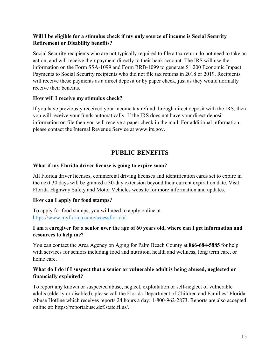#### **Will I be eligible for a stimulus check if my only source of income is Social Security Retirement or Disability benefits?**

Social Security recipients who are not typically required to file a tax return do not need to take an action, and will receive their payment directly to their bank account. The IRS will use the information on the Form SSA-1099 and Form RRB-1099 to generate \$1,200 Economic Impact Payments to Social Security recipients who did not file tax returns in 2018 or 2019. Recipients will receive these payments as a direct deposit or by paper check, just as they would normally receive their benefits.

#### **How will I receive my stimulus check?**

If you have previously received your income tax refund through direct deposit with the IRS, then you will receive your funds automatically. If the IRS does not have your direct deposit information on file then you will receive a paper check in the mail. For additional information, please contact the Internal Revenue Service at www.irs.gov.

## **PUBLIC BENEFITS**

#### **What if my Florida driver license is going to expire soon?**

All Florida driver licenses, commercial driving licenses and identification cards set to expire in the next 30 days will be granted a 30-day extension beyond their current expiration date. Visit Florida Highway Safety and Motor Vehicles website for more information and updates.

#### **How can I apply for food stamps?**

To apply for food stamps, you will need to apply online at https://www.myflorida.com/accessflorida/.

#### **I am a caregiver for a senior over the age of 60 years old, where can I get information and resources to help me?**

You can contact the Area Agency on Aging for Palm Beach County at **866-684-5885** for help with services for seniors including food and nutrition, health and wellness, long term care, or home care.

#### **What do I do if I suspect that a senior or vulnerable adult is being abused, neglected or financially exploited?**

To report any known or suspected abuse, neglect, exploitation or self-neglect of vulnerable adults (elderly or disabled), please call the Florida Department of Children and Families' Florida Abuse Hotline which receives reports 24 hours a day: 1-800-962-2873. Reports are also accepted online at: https://reportabuse.dcf.state.fl.us/.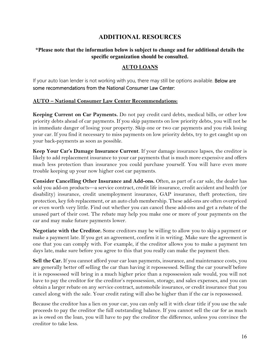## **ADDITIONAL RESOURCES**

#### **\*Please note that the information below is subject to change and for additional details the specific organization should be consulted.**

#### **AUTO LOANS**

If your auto loan lender is not working with you, there may still be options available. Below are some recommendations from the National Consumer Law Center:

#### **AUTO – National Consumer Law Center Recommendations:**

**Keeping Current on Car Payments.** Do not pay credit card debts, medical bills, or other low priority debts ahead of car payments. If you skip payments on low priority debts, you will not be in immediate danger of losing your property. Skip one or two car payments and you risk losing your car. If you find it necessary to miss payments on low priority debts, try to get caught up on your back-payments as soon as possible.

**Keep Your Car's Damage Insurance Current**. If your damage insurance lapses, the creditor is likely to add replacement insurance to your car payments that is much more expensive and offers much less protection than insurance you could purchase yourself. You will have even more trouble keeping up your now higher cost car payments.

**Consider Cancelling Other Insurance and Add-ons.** Often, as part of a car sale, the dealer has sold you add-on products—a service contract, credit life insurance, credit accident and health (or disability) insurance, credit unemployment insurance, GAP insurance, theft protection, tire protection, key fob replacement, or an auto club membership. These add-ons are often overpriced or even worth very little. Find out whether you can cancel these add-ons and get a rebate of the unused part of their cost. The rebate may help you make one or more of your payments on the car and may make future payments lower.

**Negotiate with the Creditor.** Some creditors may be willing to allow you to skip a payment or make a payment late. If you get an agreement, confirm it in writing. Make sure the agreement is one that you can comply with. For example, if the creditor allows you to make a payment ten days late, make sure before you agree to this that you really can make the payment then.

**Sell the Car.** If you cannot afford your car loan payments, insurance, and maintenance costs, you are generally better off selling the car than having it repossessed. Selling the car yourself before it is repossessed will bring in a much higher price than a repossession sale would, you will not have to pay the creditor for the creditor's repossession, storage, and sales expenses, and you can obtain a larger rebate on any service contract, automobile insurance, or credit insurance that you cancel along with the sale. Your credit rating will also be higher than if the car is repossessed.

Because the creditor has a lien on your car, you can only sell it with clear title if you use the sale proceeds to pay the creditor the full outstanding balance. If you cannot sell the car for as much as is owed on the loan, you will have to pay the creditor the difference, unless you convince the creditor to take less.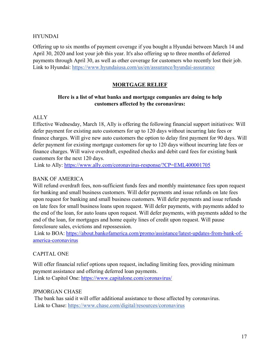#### HYUNDAI

Offering up to six months of payment coverage if you bought a Hyundai between March 14 and April 30, 2020 and lost your job this year. It's also offering up to three months of deferred payments through April 30, as well as other coverage for customers who recently lost their job. Link to Hyundai: https://www.hyundaiusa.com/us/en/assurance/hyundai-assurance

#### **MORTGAGE RELIEF**

#### **Here is a list of what banks and mortgage companies are doing to help customers affected by the coronavirus:**

#### ALLY

Effective Wednesday, March 18, Ally is offering the following financial support initiatives: Will defer payment for existing auto customers for up to 120 days without incurring late fees or finance charges. Will give new auto customers the option to delay first payment for 90 days. Will defer payment for existing mortgage customers for up to 120 days without incurring late fees or finance charges. Will waive overdraft, expedited checks and debit card fees for existing bank customers for the next 120 days.

Link to Ally: https://www.ally.com/coronavirus-response/?CP=EML400001705

#### BANK OF AMERICA

Will refund overdraft fees, non-sufficient funds fees and monthly maintenance fees upon request for banking and small business customers. Will defer payments and issue refunds on late fees upon request for banking and small business customers. Will defer payments and issue refunds on late fees for small business loans upon request. Will defer payments, with payments added to the end of the loan, for auto loans upon request. Will defer payments, with payments added to the end of the loan, for mortgages and home equity lines of credit upon request. Will pause foreclosure sales, evictions and repossession.

 Link to BOA: https://about.bankofamerica.com/promo/assistance/latest-updates-from-bank-ofamerica-coronavirus

#### CAPITAL ONE

Will offer financial relief options upon request, including limiting fees, providing minimum payment assistance and offering deferred loan payments. Link to Capitol One: https://www.capitalone.com/coronavirus/

#### JPMORGAN CHASE

 The bank has said it will offer additional assistance to those affected by coronavirus. Link to Chase: https://www.chase.com/digital/resources/coronavirus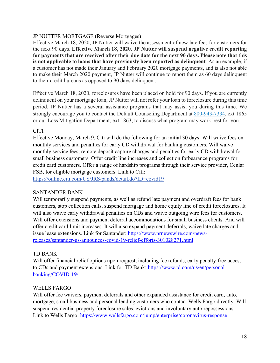#### JP NUTTER MORTGAGE (Reverse Mortgages)

Effective March 18, 2020, JP Nutter will waive the assessment of new late fees for customers for the next 90 days. **Effective March 18, 2020, JP Nutter will suspend negative credit reporting for payments that are received after their due date for the next 90 days. Please note that this is not applicable to loans that have previously been reported as delinquent**. As an example, if a customer has not made their January and February 2020 mortgage payments, and is also not able to make their March 2020 payment, JP Nutter will continue to report them as 60 days delinquent to their credit bureaus as opposed to 90 days delinquent.

Effective March 18, 2020, foreclosures have been placed on hold for 90 days. If you are currently delinquent on your mortgage loan, JP Nutter will not refer your loan to foreclosure during this time period. JP Nutter has a several assistance programs that may assist you during this time. We strongly encourage you to contact the Default Counseling Department at 800-943-7334, ext 1865 or our Loss Mitigation Department, ext 1863, to discuss what program may work best for you.

#### CITI

Effective Monday, March 9, Citi will do the following for an initial 30 days: Will waive fees on monthly services and penalties for early CD withdrawal for banking customers. Will waive monthly service fees, remote deposit capture charges and penalties for early CD withdrawal for small business customers. Offer credit line increases and collection forbearance programs for credit card customers. Offer a range of hardship programs through their service provider, Cenlar FSB, for eligible mortgage customers. Link to Citi:

https://online.citi.com/US/JRS/pands/detail.do?ID=covid19

#### SANTANDER BANK

Will temporarily suspend payments, as well as refund late payment and overdraft fees for bank customers, stop collection calls, suspend mortgage and home equity line of credit foreclosures. It will also waive early withdrawal penalties on CDs and waive outgoing wire fees for customers. Will offer extensions and payment deferral accommodations for small business clients. And will offer credit card limit increases. It will also expand payment deferrals, waive late charges and issue lease extensions. Link for Santander: https://www.prnewswire.com/newsreleases/santander-us-announces-covid-19-relief-efforts-301028271.html

#### TD BANK

Will offer financial relief options upon request, including fee refunds, early penalty-free access to CDs and payment extensions. Link for TD Bank: https://www.td.com/us/en/personalbanking/COVID-19/

#### WELLS FARGO

Will offer fee waivers, payment deferrals and other expanded assistance for credit card, auto, mortgage, small business and personal lending customers who contact Wells Fargo directly. Will suspend residential property foreclosure sales, evictions and involuntary auto repossessions. Link to Wells Fargo: https://www.wellsfargo.com/jump/enterprise/coronavirus-response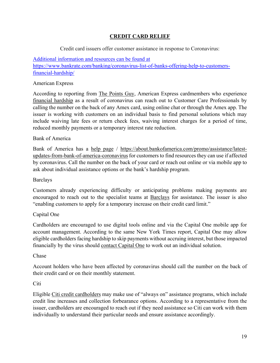#### **CREDIT CARD RELIEF**

#### Credit card issuers offer customer assistance in response to Coronavirus:

#### Additional information and resources can be found at https://www.bankrate.com/banking/coronavirus-list-of-banks-offering-help-to-customersfinancial-hardship/

#### American Express

According to reporting from The Points Guy, American Express cardmembers who experience financial hardship as a result of coronavirus can reach out to Customer Care Professionals by calling the number on the back of any Amex card, using online chat or through the Amex app. The issuer is working with customers on an individual basis to find personal solutions which may include waiving late fees or return check fees, waiving interest charges for a period of time, reduced monthly payments or a temporary interest rate reduction.

#### Bank of America

Bank of America has a help page / https://about.bankofamerica.com/promo/assistance/latestupdates-from-bank-of-america-coronavirus for customers to find resources they can use if affected by coronavirus. Call the number on the back of your card or reach out online or via mobile app to ask about individual assistance options or the bank's hardship program.

#### Barclays

Customers already experiencing difficulty or anticipating problems making payments are encouraged to reach out to the specialist teams at Barclays for assistance. The issuer is also "enabling customers to apply for a temporary increase on their credit card limit."

#### Capital One

Cardholders are encouraged to use digital tools online and via the Capital One mobile app for account management. According to the same New York Times report, Capital One may allow eligible cardholders facing hardship to skip payments without accruing interest, but those impacted financially by the virus should contact Capital One to work out an individual solution.

#### Chase

Account holders who have been affected by coronavirus should call the number on the back of their credit card or on their monthly statement.

#### Citi

Eligible Citi credit cardholders may make use of "always on" assistance programs, which include credit line increases and collection forbearance options. According to a representative from the issuer, cardholders are encouraged to reach out if they need assistance so Citi can work with them individually to understand their particular needs and ensure assistance accordingly.